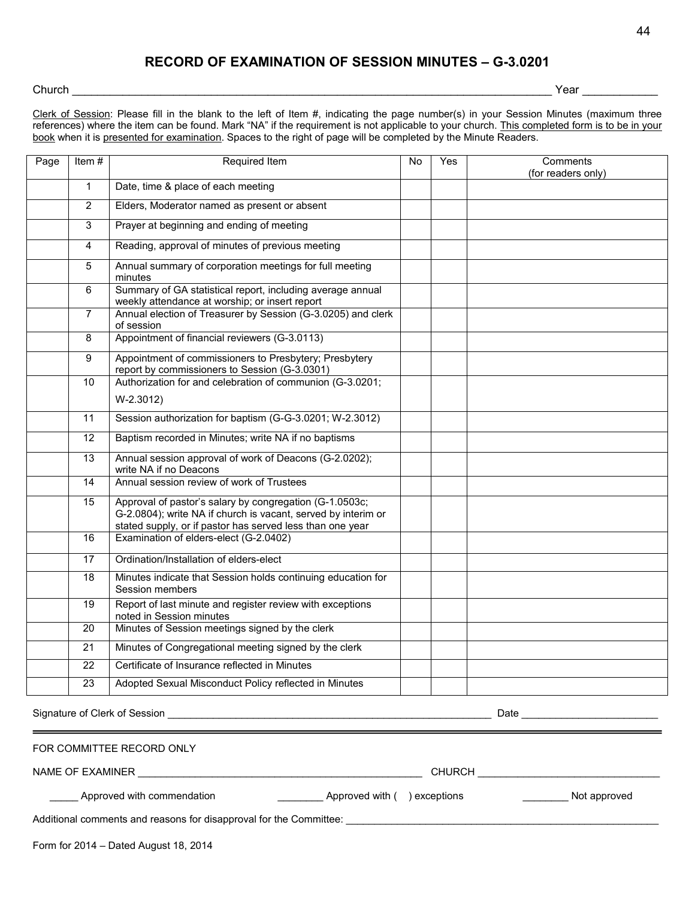# **RECORD OF EXAMINATION OF SESSION MINUTES – G-3.0201**

# Church \_\_\_\_\_\_\_\_\_\_\_\_\_\_\_\_\_\_\_\_\_\_\_\_\_\_\_\_\_\_\_\_\_\_\_\_\_\_\_\_\_\_\_\_\_\_\_\_\_\_\_\_\_\_\_\_\_\_\_\_\_\_\_\_\_\_\_\_\_\_\_\_\_\_\_\_ Year \_\_\_\_\_\_\_\_\_\_\_\_

Clerk of Session: Please fill in the blank to the left of Item #, indicating the page number(s) in your Session Minutes (maximum three references) where the item can be found. Mark "NA" if the requirement is not applicable to your church. This completed form is to be in your book when it is presented for examination. Spaces to the right of page will be completed by the Minute Readers.

| Page | Item#          | Required Item                                                                                                                                                                         | <b>No</b> | Yes | Comments           |
|------|----------------|---------------------------------------------------------------------------------------------------------------------------------------------------------------------------------------|-----------|-----|--------------------|
|      |                |                                                                                                                                                                                       |           |     | (for readers only) |
|      | $\mathbf{1}$   | Date, time & place of each meeting                                                                                                                                                    |           |     |                    |
|      | $\overline{2}$ | Elders, Moderator named as present or absent                                                                                                                                          |           |     |                    |
|      | $\mathbf{3}$   | Prayer at beginning and ending of meeting                                                                                                                                             |           |     |                    |
|      | $\overline{4}$ | Reading, approval of minutes of previous meeting                                                                                                                                      |           |     |                    |
|      | 5              | Annual summary of corporation meetings for full meeting<br>minutes                                                                                                                    |           |     |                    |
|      | 6              | Summary of GA statistical report, including average annual<br>weekly attendance at worship; or insert report                                                                          |           |     |                    |
|      | $\overline{7}$ | Annual election of Treasurer by Session (G-3.0205) and clerk<br>of session                                                                                                            |           |     |                    |
|      | 8              | Appointment of financial reviewers (G-3.0113)                                                                                                                                         |           |     |                    |
|      | 9              | Appointment of commissioners to Presbytery; Presbytery<br>report by commissioners to Session (G-3.0301)                                                                               |           |     |                    |
|      | 10             | Authorization for and celebration of communion (G-3.0201;                                                                                                                             |           |     |                    |
|      |                | $W-2.3012)$                                                                                                                                                                           |           |     |                    |
|      | 11             | Session authorization for baptism (G-G-3.0201; W-2.3012)                                                                                                                              |           |     |                    |
|      | 12             | Baptism recorded in Minutes; write NA if no baptisms                                                                                                                                  |           |     |                    |
|      | 13             | Annual session approval of work of Deacons (G-2.0202);<br>write NA if no Deacons                                                                                                      |           |     |                    |
|      | 14             | Annual session review of work of Trustees                                                                                                                                             |           |     |                    |
|      | 15             | Approval of pastor's salary by congregation (G-1.0503c;<br>G-2.0804); write NA if church is vacant, served by interim or<br>stated supply, or if pastor has served less than one year |           |     |                    |
|      | 16             | Examination of elders-elect (G-2.0402)                                                                                                                                                |           |     |                    |
|      | 17             | Ordination/Installation of elders-elect                                                                                                                                               |           |     |                    |
|      | 18             | Minutes indicate that Session holds continuing education for<br>Session members                                                                                                       |           |     |                    |
|      | 19             | Report of last minute and register review with exceptions<br>noted in Session minutes                                                                                                 |           |     |                    |
|      | 20             | Minutes of Session meetings signed by the clerk                                                                                                                                       |           |     |                    |
|      | 21             | Minutes of Congregational meeting signed by the clerk                                                                                                                                 |           |     |                    |
|      | 22             | Certificate of Insurance reflected in Minutes                                                                                                                                         |           |     |                    |
|      | 23             | Adopted Sexual Misconduct Policy reflected in Minutes                                                                                                                                 |           |     |                    |

Signature of Clerk of Session \_\_\_\_\_\_\_\_\_\_\_\_\_\_\_\_\_\_\_\_\_\_\_\_\_\_\_\_\_\_\_\_\_\_\_\_\_\_\_\_\_\_\_\_\_\_\_\_\_\_\_\_\_\_\_\_\_ Date \_\_\_\_\_\_\_\_\_\_\_\_\_\_\_\_\_\_\_\_\_\_\_\_

FOR COMMITTEE RECORD ONLY

NAME OF EXAMINER \_\_\_\_\_\_\_\_\_\_\_\_\_\_\_\_\_\_\_\_\_\_\_\_\_\_\_\_\_\_\_\_\_\_\_\_\_\_\_\_\_\_\_\_\_\_\_\_\_\_ CHURCH \_\_\_\_\_\_\_\_\_\_\_\_\_\_\_\_\_\_\_\_\_\_\_\_\_\_\_\_\_\_\_\_

\_Approved with commendation \_\_\_\_\_\_\_\_\_\_\_\_\_\_\_\_\_\_\_\_\_\_\_\_\_\_Approved with ( ) exceptions \_\_\_\_\_\_\_\_\_\_\_\_\_\_\_\_\_\_\_Not approved

Additional comments and reasons for disapproval for the Committee: \_\_\_\_\_\_\_\_\_\_\_\_\_\_\_\_\_\_\_\_\_\_\_\_\_\_\_\_\_\_\_\_\_\_\_\_\_\_\_\_\_\_\_\_\_\_\_\_\_\_\_\_\_\_\_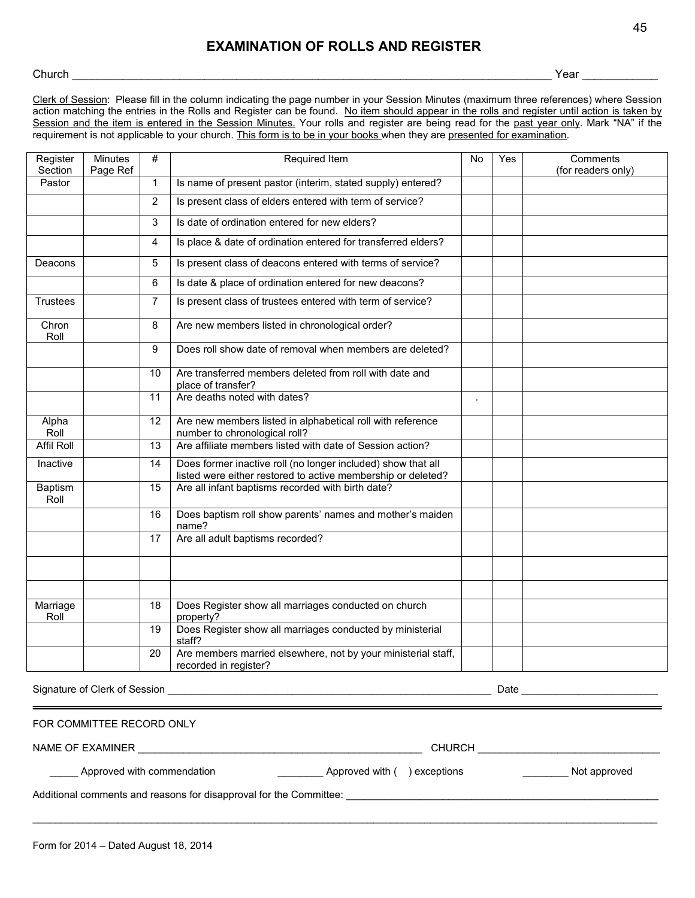### **EXAMINATION OF ROLLS AND REGISTER**

#### Church \_\_\_\_\_\_\_\_\_\_\_\_\_\_\_\_\_\_\_\_\_\_\_\_\_\_\_\_\_\_\_\_\_\_\_\_\_\_\_\_\_\_\_\_\_\_\_\_\_\_\_\_\_\_\_\_\_\_\_\_\_\_\_\_\_\_\_\_\_\_\_\_\_\_\_\_ Year \_\_\_\_\_\_\_\_\_\_\_\_

Clerk of Session: Please fill in the column indicating the page number in your Session Minutes (maximum three references) where Session action matching the entries in the Rolls and Register can be found. No item should appear in the rolls and register until action is taken by Session and the item is entered in the Session Minutes. Your rolls and register are being read for the past year only. Mark "NA" if the requirement is not applicable to your church. This form is to be in your books when they are presented for examination.

| Register<br>Section           | <b>Minutes</b><br>Page Ref | #              | Required Item                                                                                                                | <b>No</b> | Yes              | Comments<br>(for readers only) |
|-------------------------------|----------------------------|----------------|------------------------------------------------------------------------------------------------------------------------------|-----------|------------------|--------------------------------|
| Pastor                        |                            | $\mathbf{1}$   | Is name of present pastor (interim, stated supply) entered?                                                                  |           |                  |                                |
|                               |                            | $\overline{2}$ | Is present class of elders entered with term of service?                                                                     |           |                  |                                |
|                               |                            | 3              | Is date of ordination entered for new elders?                                                                                |           |                  |                                |
|                               |                            | 4              | Is place & date of ordination entered for transferred elders?                                                                |           |                  |                                |
| Deacons                       |                            | 5              | Is present class of deacons entered with terms of service?                                                                   |           |                  |                                |
|                               |                            | 6              | Is date & place of ordination entered for new deacons?                                                                       |           |                  |                                |
| <b>Trustees</b>               |                            | $\overline{7}$ | Is present class of trustees entered with term of service?                                                                   |           |                  |                                |
| Chron<br>Roll                 |                            | 8              | Are new members listed in chronological order?                                                                               |           |                  |                                |
|                               |                            | 9              | Does roll show date of removal when members are deleted?                                                                     |           |                  |                                |
|                               |                            | 10             | Are transferred members deleted from roll with date and<br>place of transfer?                                                |           |                  |                                |
|                               |                            | 11             | Are deaths noted with dates?                                                                                                 |           |                  |                                |
| Alpha<br>Roll                 |                            | 12             | Are new members listed in alphabetical roll with reference<br>number to chronological roll?                                  |           |                  |                                |
| <b>Affil Roll</b>             |                            | 13             | Are affiliate members listed with date of Session action?                                                                    |           |                  |                                |
| Inactive                      |                            | 14             | Does former inactive roll (no longer included) show that all<br>listed were either restored to active membership or deleted? |           |                  |                                |
| Baptism<br>Roll               |                            | 15             | Are all infant baptisms recorded with birth date?                                                                            |           |                  |                                |
|                               |                            | 16             | Does baptism roll show parents' names and mother's maiden<br>name?                                                           |           |                  |                                |
|                               |                            | 17             | Are all adult baptisms recorded?                                                                                             |           |                  |                                |
|                               |                            |                |                                                                                                                              |           |                  |                                |
|                               |                            |                |                                                                                                                              |           |                  |                                |
| Marriage<br>Roll              |                            | 18             | Does Register show all marriages conducted on church<br>property?                                                            |           |                  |                                |
|                               |                            | 19             | Does Register show all marriages conducted by ministerial<br>staff?                                                          |           |                  |                                |
|                               |                            | 20             | Are members married elsewhere, not by your ministerial staff,<br>recorded in register?                                       |           |                  |                                |
| Signature of Clerk of Session |                            |                |                                                                                                                              |           | <b>Date Date</b> |                                |

 $\bot$  , and the set of the set of the set of the set of the set of the set of the set of the set of the set of the set of the set of the set of the set of the set of the set of the set of the set of the set of the set of t

| FOR COMMITTEE RECORD ONLY |  |
|---------------------------|--|
|---------------------------|--|

NAME OF EXAMINER \_\_\_\_\_\_\_\_\_\_\_\_\_\_\_\_\_\_\_\_\_\_\_\_\_\_\_\_\_\_\_\_\_\_\_\_\_\_\_\_\_\_\_\_\_\_\_\_\_\_ CHURCH \_\_\_\_\_\_\_\_\_\_\_\_\_\_\_\_\_\_\_\_\_\_\_\_\_\_\_\_\_\_\_\_

\_\_\_\_\_ Approved with commendation \_\_\_\_\_\_\_\_\_\_\_\_\_\_\_\_\_\_\_\_\_\_Approved with ( ) exceptions \_\_\_\_\_\_\_\_\_\_\_\_\_\_\_\_ Not approved

Additional comments and reasons for disapproval for the Committee: \_\_\_\_\_\_\_\_\_\_\_\_\_\_\_\_\_\_\_\_\_\_\_\_\_\_\_\_\_\_\_\_\_\_\_\_\_\_\_\_\_\_\_\_\_\_\_\_\_\_\_\_\_\_\_